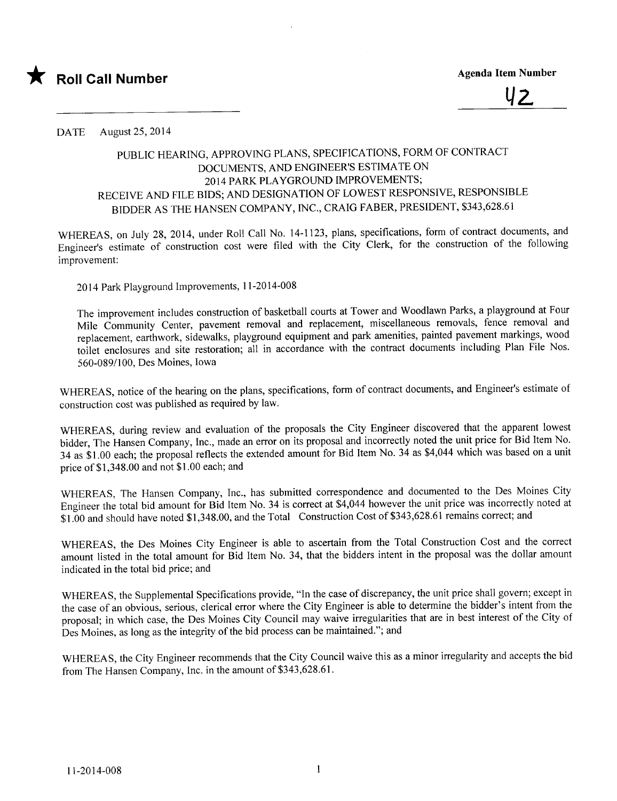

U2.

DATE August 25, 2014

## PUBLIC HEARING, APPROVING PLANS, SPECIFICA TlONS, FORM OF CONTRACT DOCUMENTS, AND ENGINEER'S ESTlMA TE ON 2014 PARK PLAYGROUND IMPROVEMENTS; RECEIVE AND FILE BIDS; AND DESIGNA TlON OF LOWEST RESPONSIVE, RESPONSIBLE BIDDER AS THE HANSEN COMPANY, INC., CRAIG FABER, PRESIDENT, \$343,628.61

WHEREAS, on July 28, 2014, under Roll Call No. 14-1123, plans, specifications, form of contract documents, and Engineer's estimate of construction cost were fied with the City Clerk, for the construction of the following improvement:

2014 Park Playground Improvements, 11-2014-008

The improvement includes construction of basketball courts at Tower and Woodlawn Parks, a playground at Four Mile Community Center, pavement removal and replacement, miscellaneous removals, fence removal and replacement, earthwork, sidewalks, playground equipment and park amenities, painted pavement markings, wood toilet enclosures and site restoration; all in accordance with the contract documents including Plan File Nos. 560-089/100, Des Moines, Iowa

WHEREAS, notice of the hearing on the plans, specifications, form of contract documents, and Engineer's estimate of construction cost was published as required by law.

WHEREAS, during review and evaluation of the proposals the City Engineer discovered that the apparent lowest bidder, The Hansen Company, Inc., made an error on its proposal and incorrectly noted the unit price for Bid Item No. 34 as \$1.00 each; the proposal reflects the extended amount for Bid Item No. 34 as \$4,044 which was based on a unit price of \$1 ,348.00 and not \$1.00 each; and

WHEREAS, The Hansen Company, Inc., has submitted correspondence and documented to the Des Moines City Engineer the total bid amount for Bid Item No. 34 is correct at \$4,044 however the unit price was incorrectly noted at \$1.00 and should have noted \$1,348.00, and the Total Construction Cost of \$343,628.61 remains correct; and

WHEREAS, the Des Moines City Engineer is able to ascertain from the Total Construction Cost and the correct amount listed in the total amount for Bid Item No. 34, that the bidders intent in the proposal was the dollar amount indicated in the total bid price; and

WHEREAS, the Supplemental Specifications provide, "In the case of discrepancy, the unit price shall govern; except in the case of an obvious, serious, clerical error where the City Engineer is able to determine the bidder's intent from the proposal; in which case, the Des Moines City Council may waive irregularities that are in best interest of the City of Des Moines, as long as the integrity of the bid process can be maintained."; and

WHEREAS, the City Engineer recommends that the City Council waive this as a minor irregularity and accepts the bid from The Hansen Company, Inc. in the amount of \$343,628.61.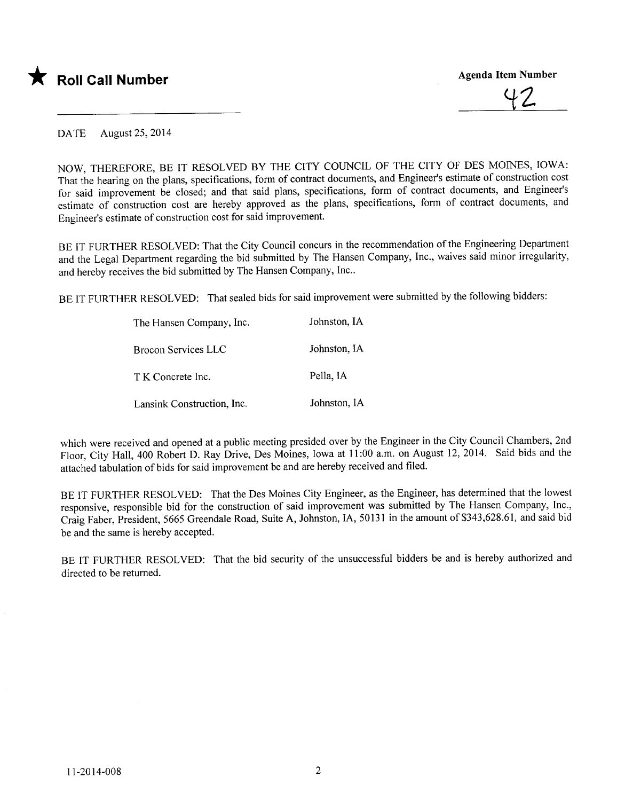



DATE August 25, 2014

NOW, THEREFORE, BE IT RESOLVED BY THE CITY COUNCIL OF THE CITY OF DES MOINS, IOWA: That the hearing on the plans, specifications, form of contract documents, and Engineer's estimate of construction cost for said improvement be closed; and that said plans, specifications, form of contract documents, and Engineer's estimate of construction cost are hereby approved as the plans, specifications, form of contract documents, and Engineer's estimate of construction cost for said improvement.

BE IT FURTHER RESOLVED: That the City Council concurs in the recommendation of the Engineering Department and the Legal Department regarding the bid submitted by The Hansen Company, Inc., waives said minor irregularity, and hereby receives the bid submitted by The Hansen Company, Inc..

BE IT FURTHER RESOLVED: That sealed bids for said improvement were submitted by the following bidders:

| The Hansen Company, Inc.   | Johnston, IA |
|----------------------------|--------------|
| <b>Brocon Services LLC</b> | Johnston, IA |
| T K Concrete Inc.          | Pella, IA    |
| Lansink Construction, Inc. | Johnston, IA |

which were received and opened at a public meeting presided over by the Engineer in the City Council Chambers, 2nd Floor, City Hall, 400 Robert D. Ray Drive, Des Moines, Iowa at 11:00 a.m. on August 12, 2014. Said bids and the attached tabulation of bids for said improvement be and are hereby received and fied.

BE IT FURTHER RESOLVED: That the Des Moines City Engineer, as the Engineer, has determined that the lowest responsive, responsible bid for the construction of said improvement was submitted by The Hansen Company, Inc., Craig Faber, President, 5665 Greendale Road, Suite A, Johnston, lA, 50131 in the amount of \$343,628.61, and said bid be and the same is hereby accepted.

BE IT FURTHER RESOLVED: That the bid security of the unsuccessful bidders be and is hereby authorized and directed to be returned.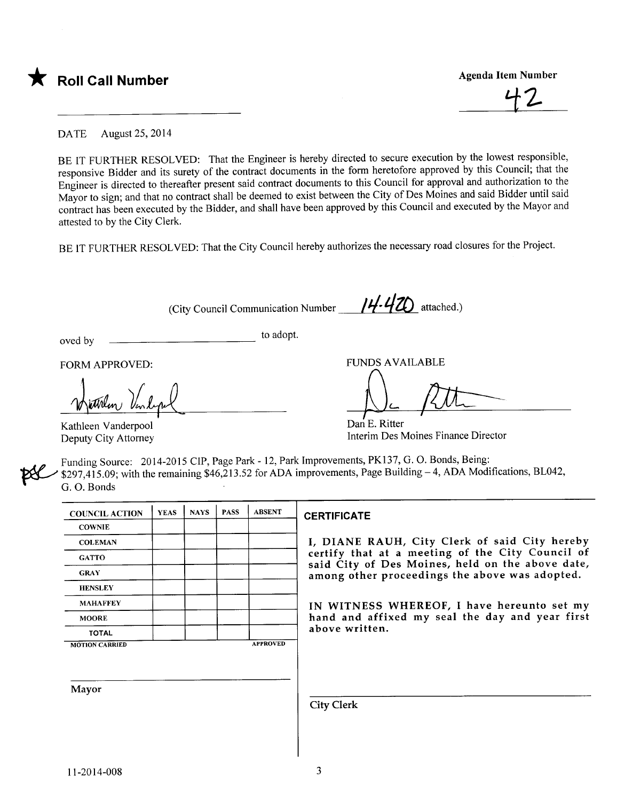



DATE August 25, 2014

BE IT FURTHER RESOLVED: That the Engineer is hereby directed to secure execution by the lowest responsible, responsive Bidder and its surety of the contract documents in the form heretofore approved by this Council; that the Engineer is directed to thereafter present said contract documents to this Council for approval and authorization to the Mayor to sign; and that no contract shall be deemed to exist between the City of Des Moines and said Bidder until said contract has been executed by the Bidder, and shall have been approved by this Council and executed by the Mayor and attested to by the City Clerk.

BE IT FURTHER RESOLVED: That the City Council hereby authorizes the necessary road closures for the Project.

(City Council Communication Number  $\frac{14.420}{\sqrt{14.40}}$  attached.)

oved by  $\qquad \qquad \qquad$  to adopt.

FORM APPROVED:

Withe Venlight

Kathleen Vanderpool Deputy City Attorney

**FUNDS AVAILABLE** 

Dan E. Ritter<br>Dan E. Ritter f RAT

Interim Des Moines Finance Director

Funding Source: 2014-2015 CIP, Page Park - 12, Park Improvements, PK137, G. O. Bonds, Being:  $$297,415.09$ ; with the remaining  $$46,213.52$  for ADA improvements, Page Building - 4, ADA Modifications, BL042, G. O. Bonds

| <b>COUNCIL ACTION</b> | <b>YEAS</b> | <b>NAYS</b> | <b>PASS</b> | <b>ABSENT</b>   | <b>CERTIFICATE</b>                                                                                   |
|-----------------------|-------------|-------------|-------------|-----------------|------------------------------------------------------------------------------------------------------|
| <b>COWNIE</b>         |             |             |             |                 |                                                                                                      |
| <b>COLEMAN</b>        |             |             |             |                 | I, DIANE RAUH, City Clerk of said City hereby                                                        |
| <b>GATTO</b>          |             |             |             |                 | certify that at a meeting of the City Council of<br>said City of Des Moines, held on the above date, |
| <b>GRAY</b>           |             |             |             |                 | among other proceedings the above was adopted.                                                       |
| <b>HENSLEY</b>        |             |             |             |                 |                                                                                                      |
| <b>MAHAFFEY</b>       |             |             |             |                 | IN WITNESS WHEREOF, I have hereunto set my                                                           |
| <b>MOORE</b>          |             |             |             |                 | hand and affixed my seal the day and year first                                                      |
| <b>TOTAL</b>          |             |             |             |                 | above written.                                                                                       |
| <b>MOTION CARRIED</b> |             |             |             | <b>APPROVED</b> |                                                                                                      |
|                       |             |             |             |                 |                                                                                                      |
| <b>Mayor</b>          |             |             |             |                 |                                                                                                      |
|                       |             |             |             |                 | <b>City Clerk</b>                                                                                    |
|                       |             |             |             |                 |                                                                                                      |
|                       |             |             |             |                 |                                                                                                      |
|                       |             |             |             |                 |                                                                                                      |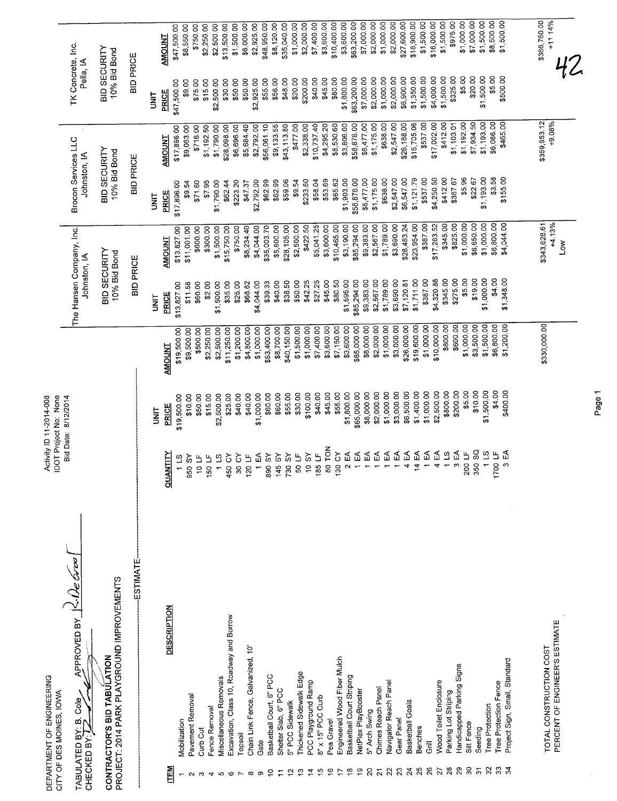|                                | DEPARTMENT OF ENGINEERING<br>CITY OF DES MOINES, IOWA                     |                                                        | DOT Project No: None<br>Bid Date: 8/12/2014<br>Activity ID 11-2014-008 |                            |                                          |                           |                                     |                           |                                     |                           |
|--------------------------------|---------------------------------------------------------------------------|--------------------------------------------------------|------------------------------------------------------------------------|----------------------------|------------------------------------------|---------------------------|-------------------------------------|---------------------------|-------------------------------------|---------------------------|
| CHECKED BY:                    | APPROVED BY K.De Groo<br>Cole <sub>.</sub><br>øŗ<br>TABULATED BY:         |                                                        |                                                                        |                            | The Hansen Company, Inc.<br>Johnston, IA |                           | Brocon Services LLC<br>Johnston, IA |                           | TK Concrete, Inc.<br>Pella, IA      |                           |
|                                | PROJECT: 2014 PARK PLAYGROUND IMPROVEMENTS<br>CONTRACTOR'S BID TABULATION |                                                        |                                                                        |                            | BID SECURITY<br>10% Bid Bond             |                           | BID SECURITY<br>10% Bid Bond        |                           | <b>BID SECURITY</b><br>10% Bid Bond |                           |
|                                | ESTIMATE-                                                                 |                                                        |                                                                        |                            | <b>BID PRICE</b>                         |                           | <b>BID PRICE</b>                    |                           | <b>BID PRICE</b>                    |                           |
|                                |                                                                           |                                                        | i<br>N                                                                 |                            | <b>SINU</b>                              |                           | <b>TINU</b>                         |                           | i<br>3                              |                           |
| <b>ITEM</b>                    | <b>DESCRIPTION</b>                                                        | <b>YTITAA</b><br>킁                                     | <b>PRICE</b>                                                           | <b>AMOUNT</b>              | <b>PRICE</b>                             | <b>AMOUNT</b>             | PRICE                               | <b>AMOUNT</b>             | PRICE                               | <b>AMOUNT</b>             |
|                                | Mobilization                                                              | $1\,$ LS                                               | \$19,500.00                                                            | \$19,500.00                | \$13,827.00                              | \$13,827.00               | \$17,896.00                         | \$17,896.00               | \$47,500.00                         | \$47,500.00               |
| $\sim$                         | Pavement Removal                                                          | <b>AS 056</b>                                          | \$10.00                                                                | \$9,500.00                 | \$11.58                                  | \$11,001.00               | \$9.54                              | \$9,063.00                | \$75.00<br>\$9.00                   | \$8,550.00<br>\$750.00    |
| S                              | Curb Cut                                                                  | 10 LF                                                  | \$50.00                                                                | \$500.00<br>\$2,250.00     | \$60.00<br>\$2.00                        | \$300.00<br>\$600.00      | \$71.60<br>\$795                    | \$716.00<br>\$1,192.50    | \$15.00                             | \$2,250.00                |
| 4                              | Fence Removal                                                             | 1 LS<br>150 LF                                         | \$15.00<br>\$2,500.00                                                  | \$2,500.00                 | \$1,500.00                               | \$1,500.00                | \$1,790.00                          | \$1,790.00                | \$2,500.00                          | \$2,500.00                |
| $\circ$<br>5                   | Excavation, Class 10, Roadway and Borrow<br>Miscellaneous Removals        | 450 CY                                                 | \$25.00                                                                | \$11,250.00                | \$35.00                                  | \$15,750.00               | \$62.44                             | \$28,098.00               | \$30.00                             | \$13,500.00               |
| $\overline{ }$                 | Topsoil                                                                   | 30 CY                                                  | \$40.00                                                                | \$1,200.00                 | \$25.00                                  | \$750.00                  | \$223.20                            | \$6,696.00                | \$50.00                             | \$1,500.00                |
| $\infty$                       | Chain Link Fence, Galvanized, 10"                                         | 120 LF                                                 | \$40.00                                                                | \$4,800.00                 | \$68.62                                  | \$8,234.40                | \$47.37                             | \$5,684.40                | \$50.00                             | \$6,000.00<br>\$2,925.00  |
| စ                              | Gate                                                                      | 1 EA                                                   | \$1,000.00                                                             | \$1,000.00                 | \$4,044.00                               | \$4,044.00<br>\$35,003.70 | \$2,792.00<br>\$62.99               | \$2,792.00<br>\$56,061.10 | \$55.00<br>\$2,925.00               | \$48,950.00               |
| ē                              | Basketball Court, 6" PCC                                                  | 145 SY<br>890 SY                                       | \$60.00<br>\$60.00                                                     | \$53,400.00<br>\$8,700.00  | \$39.33<br>\$40.00                       | \$5,800.00                | \$62.99                             | \$9,133.55                | \$56.00                             | \$8,120.00                |
| $\tilde{c}$<br>Ξ               | Shelter Slab, 6" PCC<br>5" PCC Sidewalk                                   | <b>730 SY</b>                                          | \$55.00                                                                | \$40,150.00                | \$38.50                                  | \$28,105.00               | \$59.06                             | \$43,113.80               | \$48.00                             | \$35,040.00               |
| ഇ                              | Thickened Sidewalk Edge                                                   | 50 LF                                                  | \$30.00                                                                | \$1,500.00                 | \$50.00                                  | \$2,500.00                | \$9.54                              | \$477.00                  | \$20.00                             | \$1,000.00                |
| $\vec{z}$                      | PCC Playground Ramp                                                       | 10SY                                                   | \$100.00                                                               | \$1,000.00                 | \$42.25                                  | \$422.50                  | \$233.80                            | \$2,338.00                | \$200.00                            | \$2,000.00                |
| $\frac{10}{2}$                 | 8" x 15" PCC Curb                                                         | 185 LF                                                 | \$40.00                                                                | \$7,400.00                 | \$27.25                                  | \$5,041.25                | \$58.04                             | \$10,737.40               | \$40.00<br>\$45.00                  | \$7,400.00<br>\$3,600.00  |
| $\tilde{e}$                    | Pea Gravel                                                                | 80 TON                                                 | \$45.00                                                                | \$3,600.00                 | \$45.00<br>\$80.50                       | \$10,465.00<br>\$3,600.00 | \$53.69<br>\$65.62                  | \$4,295.20<br>\$8,530.60  | \$80.00                             | \$10,400.00               |
| $\overline{1}$                 | Engineered Wood Fiber Mulch                                               | 130 CY<br>५<br>$\mathbf{\tilde{c}}$                    | \$55.00<br>\$1,800.00                                                  | \$7,150.00<br>\$3,600.00   | \$1,595.00                               | \$3,190.00                | \$1,903.00                          | \$3,806.00                | \$1,800.00                          | \$3,600.00                |
| $\frac{8}{1}$<br>$\frac{9}{5}$ | Basketball Court Striping<br>NetPlex PlayBooster                          | ₹                                                      | \$65,000.00                                                            | \$65,000.00                | \$85,294.00                              | \$85,294.00               | \$58,878.00                         | \$58,878.00               | \$63,200.00                         | \$63,200.00               |
| $\mathsf{S}$                   | 5" Arch Swing                                                             | ५                                                      | \$8,000.00                                                             | \$8,000.00                 | \$9,383.00                               | \$9,383.00                | \$6,477.00                          | \$6,477.00                | \$7,000.00                          | \$7,000.00                |
| $\tilde{z}$                    | Chimes Reach Panel                                                        | $\Xi$                                                  | \$2,000.00                                                             | \$2,000.00                 | \$2,567.00                               | \$2,567.00                | \$1,175.00                          | \$1,175.00                | \$2,000.00                          | \$2,000.00<br>\$1,000.00  |
| $\overline{2}$                 | Navigator Reach Panel                                                     | ₹                                                      | \$1,000.00                                                             | \$1,000.00                 | \$1,789.00                               | \$3,690.00<br>\$1,789.00  | \$638.00<br>\$2,547.00              | \$2,547.00<br>\$638.00    | \$2,000.00<br>\$1,000.00            | \$2,000.00                |
| $\mathbf{S}$                   | Gear Panel                                                                | ₹                                                      | \$3,000.00                                                             | \$3,000.00                 | \$3,690.00                               | \$28,483.24               | \$6,547.00                          | \$26,188.00               | \$6,900.00                          | \$27,600.00               |
| $74^{25}$                      | Basketball Goals                                                          | $\mathfrak{P}$<br>$\mathfrak{L}$<br>4<br>$\frac{4}{3}$ | \$1,400.00<br>\$6,500.00                                               | \$19,600.00<br>\$26,000.00 | \$1,711.00<br>\$7,120.81                 | \$23,954.00               | \$1,121.79                          | \$15,705.06               | \$1,350.00                          | \$18,900.00               |
| 26                             | Benches<br>ā                                                              | 1EA                                                    | \$1,000.00                                                             | \$1,000.00                 | \$387.00                                 | \$387.00                  | \$537.00                            | \$537.00                  | \$1,500.00                          | \$1,500.00                |
|                                | Wood Toilet Enclosure                                                     | 4 EA                                                   | \$2,500.00                                                             | \$10,000.00                | \$4,320.88                               | \$17,283.52               | \$4,250.50                          | \$17,002.00               | \$4,000.00                          | \$16,000.00               |
| $\overline{2}$ 78              | Parking Lot Striping                                                      | 11S                                                    | \$800.00                                                               | \$800.00                   | \$345.00                                 | \$345.00                  | \$412.00                            | \$412.00                  | \$1,500.00                          | \$1,500.00<br>\$975.00    |
| $\overline{29}$                | Handicapped Parking Signs                                                 | 3EA                                                    | \$200.00                                                               | \$600.00                   | \$275.00                                 | \$825.00                  | \$5.96<br>\$367.67                  | \$1,192.00<br>\$1,103.01  | \$325.00<br>\$5.00                  | \$1,000.00                |
| $30\,$                         | Silt Fence                                                                | 200 LF                                                 | \$5.00                                                                 | \$1,000.00                 | \$5.00                                   | \$6,650.00<br>\$1,000.00  | \$22.67                             | \$7,934.50                | \$20.00                             | \$7,000.00                |
| $\overline{5}$                 | Seeding                                                                   | 350 SQ<br>$\leftarrow$                                 | \$10.00<br>\$1,500.00                                                  | \$1,500.00<br>\$3,500.00   | \$19.00<br>\$1,000.00                    | \$1,000.00                | \$1,193.00                          | \$1,193.00                | \$1,500.00                          | \$1,500.00                |
| 32                             | Tree Protection                                                           | $\overline{\mathbf{c}}$<br>1700 LF                     | \$4.00                                                                 | \$6,800.00                 | \$4.00                                   | \$6,800.00                | \$3.58                              | \$6,086.00                | \$5.00                              | \$8,500.00                |
| 33                             | Tree Protection Fence                                                     | 3EA                                                    | \$400.00                                                               | \$1,200.00                 | \$1,348.00                               | \$4,044.00                | \$155.00                            | \$465.00                  | \$500.00                            | \$1,500.00                |
|                                | Project Sign, Small, Standard                                             |                                                        |                                                                        |                            |                                          |                           |                                     |                           |                                     |                           |
|                                | TOTAL CONSTRUCTION COST                                                   |                                                        |                                                                        | \$330,000.00               |                                          | +4.13%<br>\$343,628.61    |                                     | $+9.08%$<br>\$359,953.12  |                                     | \$366,760.00<br>$+11114%$ |
|                                | PERCENT OF ENGINEER'S ESTIMATE                                            |                                                        |                                                                        |                            |                                          | $\sum_{i=1}^{n}$          |                                     |                           |                                     |                           |
|                                |                                                                           |                                                        |                                                                        |                            |                                          |                           |                                     |                           |                                     |                           |

Page 1